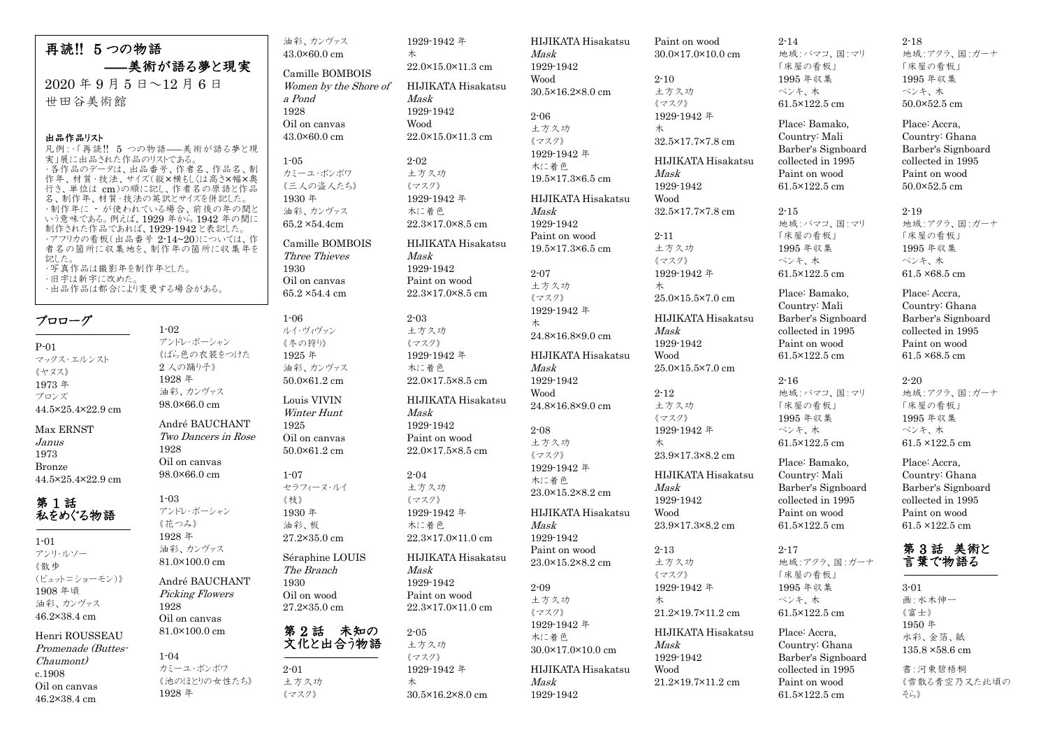再読!! 5 つの物語 ―美術が語る夢と現実  $2020$  年 9 月 5 日~12 月 6 日 世田谷美術館

## 出品作品リスト

凡例:・「再読!! 5 つの物語――美術が語る夢と現 実」展に出品された作品のリストである。 ・各作品のデータは、出品番号、作者名、作品名、制 作年、材質・技法、サイズ(縦×横もしくは高さ×幅×奥 行き、単位は cm)の順に記し、作者名の原語と作品 。<br>名、制作年、材質・技法の英訳とサイズを併記した。 ・制作年に - が使われている場合、前後の年の間と いう意味である。例えば、1929 年から 1942 年の間に 制作された作品であれば、1929-1942 と表記した。 ・アフリカの看板(出品番号 2-14~20)については、作 者名の箇所に収集地を、制作年の箇所に収集年を 記した。 ・写真作品は撮影年を制作年とした。 ・旧字は新字に改めた。 ・出品作品は都合により変更する場合がある。

## プロローグ

P-01 マックス・エルンスト 《ヤヌス》 1973 年 ブロンズ 44.5×25.4×22.9 cm Max ERNST Janus 1973

Bronze 44.5×25.4×22.9 cm

## 第 1 話 私をめぐる物語

1-01 アンリ・ルソー 《散歩 (ビュット=ショーモン)》 1908 年頃 油彩、カンヴァス 46.2×38.4 cm Henri ROUSSEAU

Promenade (Buttes-Chaumont) c.1908 Oil on canvas 46.2×38.4 cm

1-02 アンドレ・ボーシャン 《ばら色の衣装をつけた 2 人の踊り子》 1928 年 油彩、カンヴァス 98.0×66.0 cm André BAUCHANT Two Dancers in Rose 1928 Oil on canvas 98.0×66.0 cm 1-03 アンドレ・ボーシャン 《花つみ》 1928 年 油彩、カンヴァス 81.0×100.0 cm

André BAUCHANT Picking Flowers 1928 Oil on canvas 81.0×100.0 cm

## 1-04 カミーユ・ボンボワ 1928 年

《池のほとりの女性たち》

65.2 ×54.4 cm 1-06 ルイ・ヴィヴァン 《冬の狩り》 1925 年 油彩、カンヴァス 50.0×61.2 cm Louis VIVIN Winter Hunt 1925 Oil on canvas 50.0×61.2 cm 1-07 セラフィーヌ・ルイ

《枝》 1930 年 油彩、板 27.2×35.0 cm

> 2-01 土方久功 《マスク》

Séraphine LOUIS The Branch 1930 Oil on wood 27.2×35.0 cm

油彩、カンヴァス 43.0×60.0 cm Camille BOMBOIS Women by the Shore of 1929-1942 年

22.0×15.0×11.3 cm

22.0×15.0×11.3 cm

木

Mask 1929-1942 Wood

2-02 土方久功 《マスク》 1929-1942 年 木に着色 22.3×17.0×8.5 cm

Mask 1929-1942 Paint on wood 22.3×17.0×8.5 cm

2-03 土方久功 《マスク》 1929-1942 年 木に着色 22.0×17.5×8.5 cm

Mask 1929-1942 Paint on wood 22.0×17.5×8.5 cm

2-04 土方久功 《マスク》 1929-1942 年 木に着色

Mask 1929-1942 Paint on wood 22.3×17.0×11.0 cm

2-05

22.3×17.0×11.0 cm

a Pond 1928 Oil on canvas 43.0×60.0 cm

1-05

1930 Oil on canvas

カミーユ・ボンボワ 《三人の盗人たち》 1930 年 油彩、カンヴァス 65.2 ×54.4cm Camille BOMBOIS Three Thieves

## 第2話 未知の 文化と出合う物語

土方久功 《マスク》 1929-1942 年 木 30.5×16.2×8.0 cm

HIJIKATA Hisakatsu HIJIKATA Hisakatsu HIJIKATA Hisakatsu HIJIKATA Hisakatsu HIJIKATA Hisakatsu Mask 1929-1942 Wood 30.5×16.2×8.0 cm 2-06 土方久功 《マスク》 1929-1942 年 木に着色 19.5×17.3×6.5 cm HIJIKATA Hisakatsu Mask 1929-1942 Paint on wood 19.5×17.3×6.5 cm 2-07 土方久功 《マスク》 1929-1942 年 木 24.8×16.8×9.0 cm HIJIKATA Hisakatsu Mask 1929-1942 Wood 24.8×16.8×9.0 cm 2-08 土方久功 《マスク》 1929-1942 年 木に着色 23.0×15.2×8.2 cm Mask 1929-1942 Paint on wood 23.0×15.2×8.2 cm 2-09 土方久功 《マスク》 1929-1942 年 木に着色 30.0×17.0×10.0 cm Mask 1929-1942

Paint on wood 30.0×17.0×10.0 cm 2-10

土方久功 《マスク》 1929-1942 年 木 Mask 1929-1942 Wood 2-11 土方久功 《マスク》 1929-1942 年 木 Mask 1929-1942 Wood 2-12 土方久功 《マスク》 1929-1942 年 木 Mask 1929-1942 Wood 2-13 土方久功 《マスク》 1929-1942 年 木 Mask 1929-1942 Wood

32.5×17.7×7.8 cm HIJIKATA Hisakatsu 32.5×17.7×7.8 cm 25.0×15.5×7.0 cm HIJIKATA Hisakatsu 25.0×15.5×7.0 cm 23.9×17.3×8.2 cm HIJIKATA Hisakatsu 23.9×17.3×8.2 cm

HIJIKATA Hisakatsu 21.2×19.7×11.2 cm

2-14 地域:バマコ、国:マリ 「床屋の看板」 1995 年収集 ペンキ、木 61.5×122.5 cm Place: Bamako,

Country: Mali Barber's Signboard collected in 1995 Paint on wood 61.5×122.5 cm

2-15 地域:バマコ、国:マリ 「床屋の看板」 1995 年収集 ペンキ、木 61.5×122.5 cm Place: Bamako,

Country: Mali Barber's Signboard collected in 1995 Paint on wood

61.5×122.5 cm

2-16

地域:バマコ、国:マリ 「床屋の看板」 1995 年収集 ペンキ、木

61.5×122.5 cm Place: Bamako, Country: Mali Barber's Signboard collected in 1995 Paint on wood 61.5×122.5 cm

## 2-17 地域:アクラ、国:ガーナ

「床屋の看板」 1995 年収集 ペンキ、木 61.5×122.5 cm Place: Accra, Country: Ghana Barber's Signboard collected in 1995 Paint on wood 61.5×122.5 cm

## 2-18

地域:アクラ、国:ガーナ 「床屋の看板」 1995 年収集 ペンキ、木 50.0×52.5 cm

Place: Accra, Country: Ghana Barber's Signboard collected in 1995 Paint on wood 50.0×52.5 cm

## 2-19

地域:アクラ、国:ガーナ 「床屋の看板」 1995 年収集 ペンキ、木 61.5 ×68.5 cm

Place: Accra, Country: Ghana Barber's Signboard collected in 1995 Paint on wood 61.5 ×68.5 cm

## 2-20

地域:アクラ、国:ガーナ 「床屋の看板」 1995 年収集 ペンキ、木 61.5 ×122.5 cm

Place: Accra, Country: Ghana Barber's Signboard collected in 1995 Paint on wood 61.5 ×122.5 cm

## 第 3 話 美術と 言葉で物語る

3-01 画:水木伸一 《富士》 1950 年 水彩、金箔、紙 135.8 ×58.6 cm 書:河東碧梧桐 《雪散る青空乃又た此頃の そら》

# HIJIKATA Hisakatsu HIJIKATA Hisakatsu

## 21.2×19.7×11.2 cm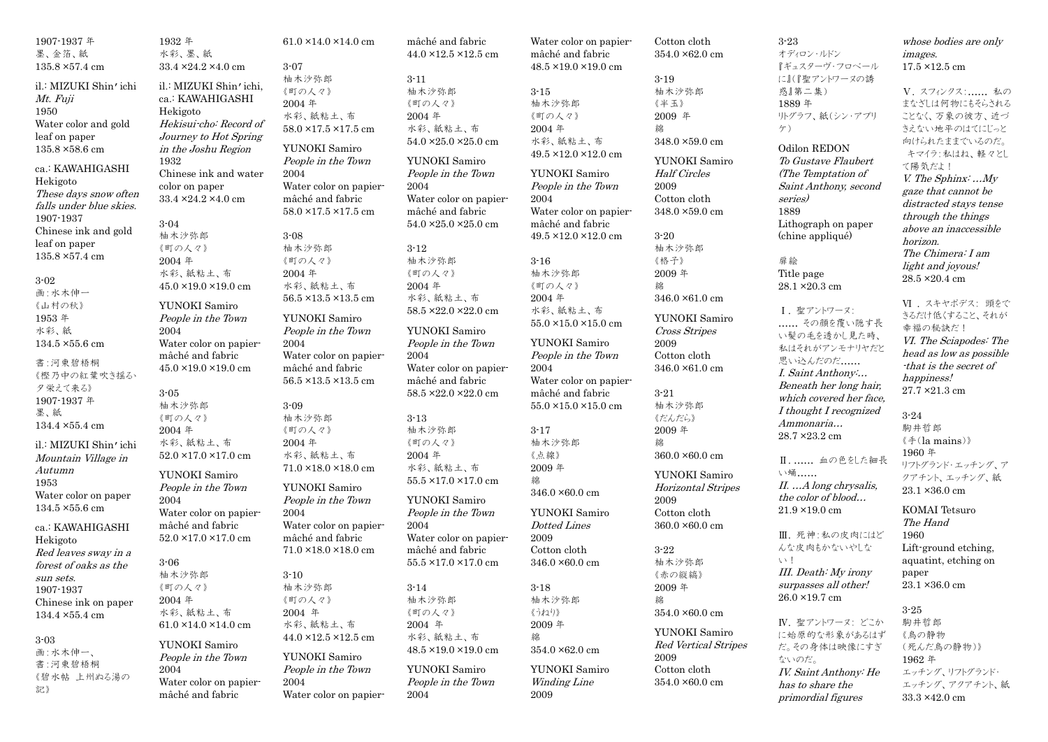| 1907-1937 年             | 1932 年                            | $61.0 \times 14.0 \times 14.0$ cm | mâché and fabric                      | Water color on papier-            | Cotton cloth                | $3 - 23$                | whose bodies are only   |
|-------------------------|-----------------------------------|-----------------------------------|---------------------------------------|-----------------------------------|-----------------------------|-------------------------|-------------------------|
| 墨、金箔、紙                  | 水彩、墨、紙                            |                                   | 44.0 × 12.5 × 12.5 cm                 | mâché and fabric                  | 354.0 ×62.0 cm              | オディロン・ルドン               | <i>images.</i>          |
| $135.8 \times 57.4$ cm  | $33.4 \times 24.2 \times 4.0$ cm  | $3 - 07$                          |                                       | $48.5 \times 19.0 \times 19.0$ cm |                             | 『ギュスターヴ・フロベール           | $17.5 \times 12.5$ cm   |
|                         |                                   | 柚木沙弥郎                             | $3 - 11$                              |                                   | $3 - 19$                    | に』(『聖アントワーヌの誘           |                         |
| il.: MIZUKI Shin' ichi  | il.: MIZUKI Shin'ichi,            | 《町の人々》                            | 柚木沙弥郎                                 | $3 - 15$                          | 柚木沙弥郎                       | 惑』第二集)                  | V. スフィンクス: 私の           |
| Mt. Fuji                | ca.: KAWAHIGASHI                  | 2004年                             | 《町の人々》                                | 柚木沙弥郎                             | 《半玉》                        | 1889年                   | まなざしは何物にもそらされる          |
| 1950                    | Hekigoto                          | 水彩、紙粘土、布                          | 2004年                                 | 《町の人々》                            | 2009 年                      | リトグラフ、紙(シン・アプリ          | ことなく、万象の彼方、近づ           |
| Water color and gold    | Hekisui cho: Record of            | $58.0 \times 17.5 \times 17.5$ cm | 水彩、紙粘土、布                              | 2004年                             | 綿                           | $\mathcal{T}$ )         | きえない地平のはてにじっと           |
| leaf on paper           | Journey to Hot Spring             |                                   | $54.0$ $\times 25.0$ $\times 25.0$ cm | 水彩、紙粘土、布                          | 348.0 ×59.0 cm              |                         | 向けられたままでいるのだ。           |
| 135.8 ×58.6 cm          | in the Joshu Region               | YUNOKI Samiro                     |                                       | 49.5 ×12.0 ×12.0 cm               |                             | Odilon REDON            | キマイラ:私はね、軽々とし           |
|                         | 1932                              | People in the Town                | YUNOKI Samiro                         |                                   | YUNOKI Samiro               | To Gustave Flaubert     | て陽気だよ!                  |
| ca.: KAWAHIGASHI        | Chinese ink and water             | 2004                              | People in the Town                    | YUNOKI Samiro                     | <b>Half</b> Circles         | (The Temptation of      |                         |
| Hekigoto                | color on paper                    | Water color on papier-            | 2004                                  | People in the Town                | 2009                        | Saint Anthony, second   | V. The Sphinx: $.My$    |
| These days snow often   | 33.4 × 24.2 × 4.0 cm              | mâché and fabric                  | Water color on papier-                | 2004                              | Cotton cloth                | series)                 | gaze that cannot be     |
| falls under blue skies. |                                   | 58.0 ×17.5 ×17.5 cm               | mâché and fabric                      | Water color on papier-            | 348.0×59.0 cm               | 1889                    | distracted stays tense  |
| 1907-1937               | $3 - 04$                          |                                   | $54.0 \times 25.0 \times 25.0$ cm     | mâché and fabric                  |                             | Lithograph on paper     | through the things      |
| Chinese ink and gold    | 柚木沙弥郎                             | $3 - 08$                          |                                       | $49.5 \times 12.0 \times 12.0$ cm | $3-20$                      | (chine appliqué)        | above an inaccessible   |
| leaf on paper           | 《町の人々》                            | 柚木沙弥郎                             | $3 - 12$                              |                                   | 柚木沙弥郎                       |                         | horizon.                |
| 135.8 ×57.4 cm          |                                   |                                   | 柚木沙弥郎                                 |                                   |                             | 扉絵                      | The Chimera: I am       |
|                         | 2004年                             | 《町の人々》                            |                                       | $3 - 16$                          | 《格子》                        |                         | light and joyous!       |
| $3 - 02$                | 水彩、紙粘土、布                          | 2004年                             | 《町の人々》                                | 柚木沙弥郎                             | 2009年                       | Title page              | 28.5 ×20.4 cm           |
| 画:水木伸一                  | $45.0 \times 19.0 \times 19.0$ cm | 水彩、紙粘土、布                          | 2004年                                 | 《町の人々》                            | 綿                           | 28.1 × 20.3 cm          |                         |
| 《山村の秋》                  | YUNOKI Samiro                     | 56.5 ×13.5 ×13.5 cm               | 水彩、紙粘土、布                              | 2004年                             | $346.0 \times 61.0$ cm      |                         | VI . スキヤポデス: 頭をで        |
| 1953年                   | People in the Town                | YUNOKI Samiro                     | $58.5 \times 22.0 \times 22.0$ cm     | 水彩、紙粘土、布                          | YUNOKI Samiro               | Ⅰ. 聖アントワーヌ:             | さるだけ低くすること、それが          |
| 水彩、紙                    |                                   | People in the Town                | YUNOKI Samiro                         | $55.0 \times 15.0 \times 15.0$ cm |                             | その顔を覆い隠す長               | 幸福の秘訣だ!                 |
|                         | 2004                              |                                   |                                       |                                   | Cross Stripes               | い髪の毛を透かし見た時、            | VI. The Sciapodes: The  |
| $134.5 \times 55.6$ cm  | Water color on papier-            | 2004                              | People in the Town                    | YUNOKI Samiro                     | 2009                        | 私はそれがアンモナリヤだと           | head as low as possible |
| 書:河東碧梧桐                 | mâché and fabric                  | Water color on papier-            | 2004                                  | People in the Town                | Cotton cloth                | 思い込んだのだ                 | that is the secret of   |
| 《樫乃中の紅葉吹き揺る             | $45.0 \times 19.0 \times 19.0$ cm | mâché and fabric                  | Water color on papier-                | $\,2004\,$                        | 346.0 ×61.0 cm              | I. Saint Anthony        |                         |
| 夕栄えて来る》                 |                                   | $56.5 \times 13.5 \times 13.5$ cm | mâché and fabric                      | Water color on papier-            |                             | Beneath her long hair,  | happiness!              |
| 1907-1937 年             | $3 - 05$                          |                                   | 58.5 ×22.0 ×22.0 cm                   | mâché and fabric                  | $3 - 21$                    | which covered her face. | 27.7 × 21.3 cm          |
| 墨、紙                     | 柚木沙弥郎                             | $3 - 09$                          |                                       | $55.0 \times 15.0 \times 15.0$ cm | 柚木沙弥郎                       | I thought I recognized  |                         |
|                         | 《町の人々》                            | 柚木沙弥郎                             | $3 - 13$                              |                                   | 《だんだら》                      | Ammonaria               | $3 - 24$                |
| 134.4 ×55.4 cm          | 2004年                             | 《町の人々》                            | 柚木沙弥郎                                 | $3 - 17$                          | 2009年                       | 28.7 × 23.2 cm          | 駒井哲郎                    |
| il.: MIZUKI Shin' ichi  | 水彩、紙粘土、布                          | 2004年                             | 《町の人々》                                | 柚木沙弥郎                             | 綿                           |                         | 《手(la mains)》           |
| Mountain Village in     | $52.0 \times 17.0 \times 17.0$ cm | 水彩、紙粘土、布                          | 2004年                                 | 《点線》                              | $360.0 \times 60.0$ cm      |                         | 1960 年                  |
| Autumn                  |                                   | 71.0 ×18.0 ×18.0 cm               | 水彩、紙粘土、布                              | 2009年                             |                             | Ⅱ 血の色をした細長              | リフトグランド・エッチング、ア         |
| 1953                    | YUNOKI Samiro                     |                                   | $55.5 \times 17.0 \times 17.0$ cm     | 綿                                 | YUNOKI Samiro               | い蛹                      | クアチント、エッチング、紙           |
|                         | People in the Town                | YUNOKI Samiro                     |                                       | 346.0 ×60.0 cm                    | Horizontal Stripes          | II. A long chrysalis,   | 23.1×36.0 cm            |
| Water color on paper    | 2004                              | People in the Town                | YUNOKI Samiro                         |                                   | 2009                        | the color of blood      |                         |
| $134.5 \times 55.6$ cm  | Water color on papier-            | 2004                              | People in the Town                    | YUNOKI Samiro                     | Cotton cloth                | $21.9 \times 19.0$ cm   | <b>KOMAI</b> Tetsuro    |
| ca.: KAWAHIGASHI        | mâché and fabric                  | Water color on papier-            | 2004                                  | <b>Dotted Lines</b>               | $360.0 \times 60.0$ cm      |                         | The Hand                |
| Hekigoto                | $52.0 \times 17.0 \times 17.0$ cm | mâché and fabric                  | Water color on papier-                | 2009                              |                             | Ⅲ. 死神:私の皮肉にはど           | 1960                    |
| Red leaves sway in a    |                                   | $71.0 \times 18.0 \times 18.0$ cm | mâché and fabric                      | Cotton cloth                      | $3 - 22$                    | んな皮肉もかないやしな             | Lift-ground etching,    |
| forest of oaks as the   | $3 - 06$                          |                                   | $55.5 \times 17.0 \times 17.0$ cm     | $346.0 \times 60.0$ cm            | 柚木沙弥郎                       | $\vee$ 1                | aquatint, etching on    |
|                         | 柚木沙弥郎                             | $3 - 10$                          |                                       |                                   | 《赤の縦縞》                      | III. Death: My irony    | paper                   |
| sun sets.               | 《町の人々》                            | 柚木沙弥郎                             | $3 - 14$                              | $3 - 18$                          | $2009$ 年                    | surpasses all other!    | 23.1 ×36.0 cm           |
| 1907-1937               | 2004年                             | 《町の人々》                            | 柚木沙弥郎                                 | 柚木沙弥郎                             | 綿                           | 26.0 ×19.7 cm           |                         |
| Chinese ink on paper    | 水彩、紙粘土、布                          | 2004 年                            | 《町の人々》                                | 《うねり》                             | 354.0 ×60.0 cm              |                         | $3-25$                  |
| 134.4 ×55.4 cm          |                                   |                                   | 2004 年                                |                                   |                             | IV. 聖アントワーヌ: どこか        | 駒井哲郎                    |
|                         | $61.0 \times 14.0 \times 14.0$ cm | 水彩、紙粘土、布                          |                                       | $2009~\mathrm{\AA}$               | YUNOKI Samiro               | に始原的な形象があるはず            | 《鳥の静物                   |
| $3-03$                  | YUNOKI Samiro                     | 44.0 × 12.5 × 12.5 cm             | 水彩、紙粘土、布                              | 綿                                 | <b>Red Vertical Stripes</b> | だ。その身体は映像にすぎ            | (死んだ鳥の静物)》              |
| 画:水木伸一、                 | People in the Town                | YUNOKI Samiro                     | $48.5 \times 19.0 \times 19.0$ cm     | 354.0 ×62.0 cm                    | 2009                        | ないのだ。                   |                         |
| 書:河東碧梧桐                 | 2004                              | People in the Town                | YUNOKI Samiro                         | YUNOKI Samiro                     | Cotton cloth                |                         | 1962年                   |
| 《碧水帖 上州ぬる湯の             | Water color on papier-            | 2004                              | People in the Town                    | <i>Winding Line</i>               | 354.0 ×60.0 cm              | IV. Saint Anthony: He   | エッチング、リフトグランド・          |
| 記》                      | mâché and fabric                  | Water color on papier-            | 2004                                  | 2009                              |                             | has to share the        | エッチング、アクアチント、紙          |
|                         |                                   |                                   |                                       |                                   |                             | primordial figures      | 33.3 ×42.0 cm           |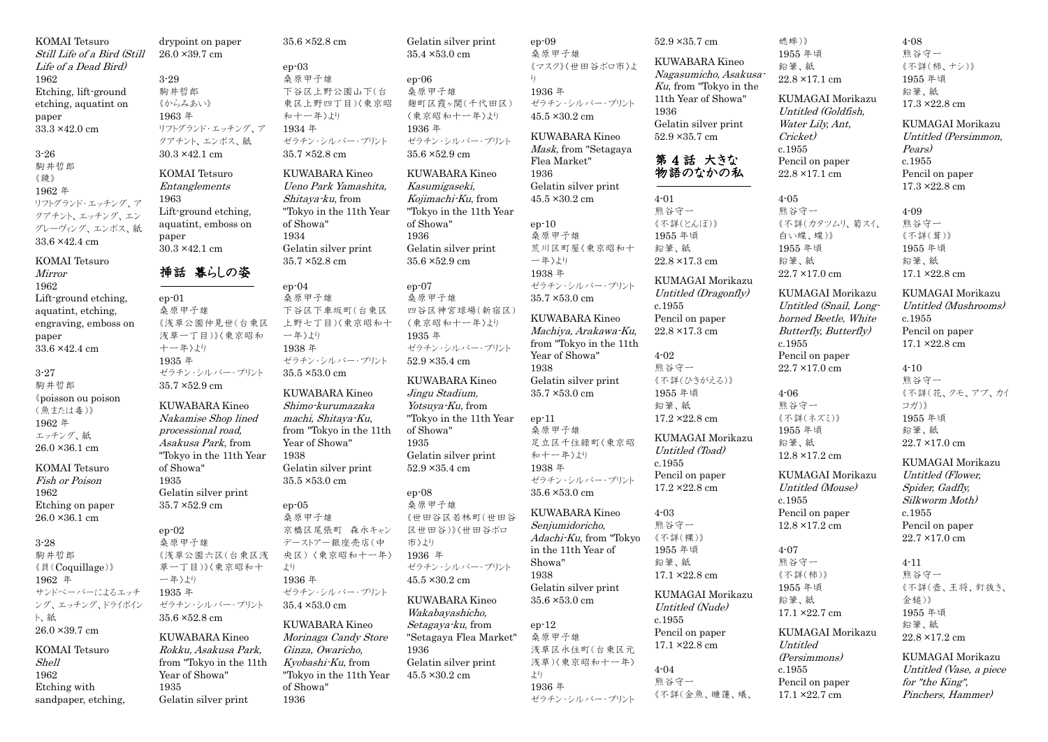KOMAI Tetsuro Still Life of a Bird (Still Life of a Dead Bird) 1962 Etching, lift-ground etching, aquatint on paper 33.3 ×42.0 cm 3-26

駒井哲郎 《鏡》 1962 年 リフトグランド・エッチング、ア クアチント、エッチング、エン グレーヴィング、エンボス、紙 33.6 ×42.4 cm

KOMAI Tetsuro Mirror 1962 Lift-ground etching, aquatint, etching, engraving, emboss on paper 33.6 ×42.4 cm

```
3-27
駒井哲郎
《poisson ou poison
(魚または毒)》
1962 年
エッチング、紙
26.0 ×36.1 cm
```
KOMAI Tetsuro Fish or Poison 1962 Etching on paper 26.0 ×36.1 cm

3-28 駒井哲郎 《貝(Coquillage)》 1962 年 サンドペーパーによるエッチ ング、エッチング、ドライポイン ト、紙 26.0 ×39.7 cm KOMAI Tetsuro Shell 1962 Etching with sandpaper, etching,

drypoint on paper 26.0 ×39.7 cm 3-29 駒井哲郎 《からみあい》 1963 年 リフトグランド・エッチング、ア クアチント、エンボス、紙 30.3 ×42.1 cm KOMAI Tetsuro **Entanglements** 1963 Lift-ground etching, aquatint, emboss on paper 30.3 ×42.1 cm 挿話 暮らしの姿 ep-01 桑原甲子雄 《浅草公園仲見世(台東区 浅草一丁目)》〈東京昭和 十一年〉より 1935 年 ゼラチン・シルバー・プリント 35.7 ×52.9 cm KUWABARA Kineo Nakamise Shop lined processional road, Asakusa Park, from "Tokyo in the 11th Year of Showa" 1935 Gelatin silver print 35.7 ×52.9 cm ep-02 桑原甲子雄 《浅草公園六区(台東区浅 草一丁目)》〈東京昭和十 一年〉より 1935 年 ゼラチン・シルバー・プリント 35.6 ×52.8 cm KUWABARA Kineo Rokku, Asakusa Park, from "Tokyo in the 11th Year of Showa" 1935 Gelatin silver print 35.6 ×52.8 cm ep-03 桑原甲子雄 和十一年〉より 1934 年 35.7 ×52.8 cm Shitaya-ku, from of Showa" 1934 Gelatin silver print 35.7 ×52.8 cm ep-04 桑原甲子雄 一年〉より 1938 年 35.5 ×53.0 cm machi, Shitaya-Ku, Year of Showa" 1938 Gelatin silver print 35.5 ×53.0 cm ep-05 桑原甲子雄 より 1936 年 35.4 ×53.0 cm Ginza, Owaricho, Kyobashi-Ku, from of Showa" 1936

下谷区上野公園山下(台 東区上野四丁目)〈東京昭 ゼラチン・シルバー・プリント KUWABARA Kineo Ueno Park Yamashita, "Tokyo in the 11th Year 下谷区下車坂町(台東区 上野七丁目)〈東京昭和十 ゼラチン・シルバー・プリント KUWABARA Kineo Shimo-kurumazaka from "Tokyo in the 11th 京橋区尾張町 森永キャン デーストアー銀座売店(中 央区) 〈東京昭和十一年〉 ゼラチン・シルバー・プリント KUWABARA Kineo Morinaga Candy Store "Tokyo in the 11th Year Gelatin silver print 35.4 ×53.0 cm ep-06 桑原甲子雄 麹町区霞ヶ関(千代田区) 〈東京昭和十一年〉より 1936 年 ゼラチン・シルバー・プリント 35.6 ×52.9 cm KUWABARA Kineo Kasumigaseki, Kojimachi-Ku, from "Tokyo in the 11th Year of Showa" 1936 Gelatin silver print 35.6 ×52.9 cm ep-07 桑原甲子雄 四谷区神宮球場(新宿区) 〈東京昭和十一年〉より 1935 年 ゼラチン・シルバー・プリント 52.9 ×35.4 cm KUWABARA Kineo Jingu Stadium, Yotsuya-Ku, from "Tokyo in the 11th Year of Showa" 1935 Gelatin silver print 52.9 ×35.4 cm ep-08 桑原甲子雄 《世田谷区若林町(世田谷 区世田谷)》〈世田谷ボロ 市〉より 1936 年 ゼラチン・シルバー・プリント 45.5 ×30.2 cm KUWABARA Kineo Wakabayashicho, Setagaya-ku, from "Setagaya Flea Market" 1936 Gelatin silver print 45.5 ×30.2 cm

ep-09 桑原甲子雄 《マスク》〈世田谷ボロ市〉よ り 1936 年 ゼラチン・シルバー・プリント 45.5 ×30.2 cm KUWABARA Kineo Mask, from "Setagaya Flea Market" 1936 Gelatin silver print 45.5 ×30.2 cm ep-10 桑原甲子雄 荒川区町屋〈東京昭和十 一年〉より 1938 年 ゼラチン・シルバー・プリント 35.7 ×53.0 cm KUWABARA Kineo Machiya, Arakawa-Ku, from "Tokyo in the 11th Year of Showa" 1938 Gelatin silver print 35.7 ×53.0 cm ep-11 桑原甲子雄 足立区千住緑町〈東京昭 和十一年〉より 1938 年 ゼラチン・シルバー・プリント 35.6 ×53.0 cm KUWABARA Kineo Senjumidoricho, Adachi-Ku, from "Tokyo in the 11th Year of Showa" 1938 Gelatin silver print 35.6 ×53.0 cm ep-12 桑原甲子雄 浅草区永住町(台東区元 浅草)〈東京昭和十一年〉 より 1936 年

ゼラチン・シルバー・プリント Ku, from "Tokyo in the 11th Year of Showa" 1936 Gelatin silver print 52.9 ×35.7 cm 第 4 話 大きな 物語のなかの私 4-01 熊谷守一 《不詳(とんぼ)》 1955 年頃 鉛筆、紙 22.8 ×17.3 cm KUMAGAI Morikazu Untitled (Dragonfly) c.1955 Pencil on paper 22.8 ×17.3 cm 4-02 熊谷守一 《不詳(ひきがえる)》 1955 年頃 鉛筆、紙 17.2 ×22.8 cm KUMAGAI Morikazu Untitled (Toad) c.1955 Pencil on paper 17.2 ×22.8 cm 4-03 熊谷守一 《不詳(裸)》 1955 年頃 鉛筆、紙 17.1 ×22.8 cm KUMAGAI Morikazu Untitled (Nude) c.1955 Pencil on paper 17.1 ×22.8 cm 4-04 熊谷守一 《不詳(金魚、睡蓮、蟻、

52.9 ×35.7 cm KUWABARA Kineo Nagasumicho, Asakusa-蟋蟀)》 1955 年頃 鉛筆、紙 22.8 ×17.1 cm Water Lily, Ant, Cricket) c.1955 Pencil on paper 22.8 ×17.1 cm 4-05 熊谷守一 白い蝶、蝶)》 1955 年頃 鉛筆、紙 22.7 ×17.0 cm c.1955 Pencil on paper  $22.7 \times 17.0$  cm 4-06 熊谷守一 《不詳(ネズミ)》 1955 年頃 鉛筆、紙  $12.8 \times 17.2$  cm Untitled (Mouse) c.1955 Pencil on paper 12.8 ×17.2 cm 4-07 熊谷守一 《不詳(柿)》 1955 年頃 鉛筆、紙 17.1 ×22.7 cm Untitled

c.1955

KUMAGAI Morikazu Untitled (Goldfish, 《不詳(カタツムリ、菊スイ、 KUMAGAI Morikazu Untitled (Snail, Longhorned Beetle, White Butterfly, Butterfly) KUMAGAI Morikazu KUMAGAI Morikazu (Persimmons) Pencil on paper 17.1 ×22.7 cm for "the King" Pinchers, Hammer)

《不詳(柿、ナシ)》 1955 年頃 鉛筆、紙 17.3 ×22.8 cm KUMAGAI Morikazu Untitled (Persimmon, Pears) c.1955 Pencil on paper 17.3 ×22.8 cm 4-09 熊谷守一 《不詳(茸)》 1955 年頃 鉛筆、紙 17.1 ×22.8 cm KUMAGAI Morikazu Untitled (Mushrooms) c.1955 Pencil on paper 17.1 ×22.8 cm 4-10 熊谷守一 《不詳(花、クモ、アブ、カイ コガ)》 1955 年頃 鉛筆、紙 22.7 ×17.0 cm KUMAGAI Morikazu Untitled (Flower, Spider, Gadfly, Silkworm Moth) c.1955 Pencil on paper 22.7 ×17.0 cm 4-11 熊谷守一 《不詳(壺、王将、釘抜き、 金槌)》 1955 年頃 鉛筆、紙 22.8 ×17.2 cm KUMAGAI Morikazu Untitled (Vase, a piece

4-08 熊谷守一